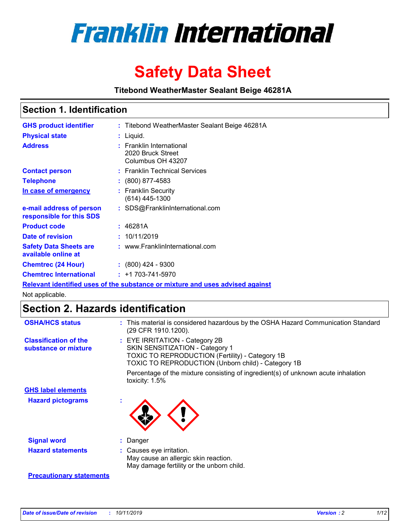

# **Safety Data Sheet**

**Titebond WeatherMaster Sealant Beige 46281A**

## **Section 1. Identification**

| <b>GHS product identifier</b>                        | : Titebond WeatherMaster Sealant Beige 46281A                                 |
|------------------------------------------------------|-------------------------------------------------------------------------------|
| <b>Physical state</b>                                | : Liquid.                                                                     |
| <b>Address</b>                                       | : Franklin International<br>2020 Bruck Street<br>Columbus OH 43207            |
| <b>Contact person</b>                                | : Franklin Technical Services                                                 |
| <b>Telephone</b>                                     | : (800) 877-4583                                                              |
| In case of emergency                                 | : Franklin Security<br>$(614)$ 445-1300                                       |
| e-mail address of person<br>responsible for this SDS | : SDS@FranklinInternational.com                                               |
| <b>Product code</b>                                  | : 46281A                                                                      |
| Date of revision                                     | : 10/11/2019                                                                  |
| <b>Safety Data Sheets are</b><br>available online at | : www.FranklinInternational.com                                               |
| <b>Chemtrec (24 Hour)</b>                            | $\div$ (800) 424 - 9300                                                       |
| <b>Chemtrec International</b>                        | $: +1703 - 741 - 5970$                                                        |
|                                                      | Relevant identified uses of the substance or mixture and uses advised against |

Not applicable.

# **Section 2. Hazards identification**

| <b>OSHA/HCS status</b>                               | : This material is considered hazardous by the OSHA Hazard Communication Standard<br>(29 CFR 1910.1200).                                                                                 |
|------------------------------------------------------|------------------------------------------------------------------------------------------------------------------------------------------------------------------------------------------|
| <b>Classification of the</b><br>substance or mixture | : EYE IRRITATION - Category 2B<br>SKIN SENSITIZATION - Category 1<br><b>TOXIC TO REPRODUCTION (Fertility) - Category 1B</b><br><b>TOXIC TO REPRODUCTION (Unborn child) - Category 1B</b> |
|                                                      | Percentage of the mixture consisting of ingredient(s) of unknown acute inhalation<br>toxicity: $1.5\%$                                                                                   |
| <b>GHS label elements</b>                            |                                                                                                                                                                                          |
| <b>Hazard pictograms</b>                             |                                                                                                                                                                                          |
| <b>Signal word</b>                                   | : Danger                                                                                                                                                                                 |
| <b>Hazard statements</b>                             | : Causes eye irritation.<br>May cause an allergic skin reaction.<br>May damage fertility or the unborn child.                                                                            |
| <b>Precautionary statements</b>                      |                                                                                                                                                                                          |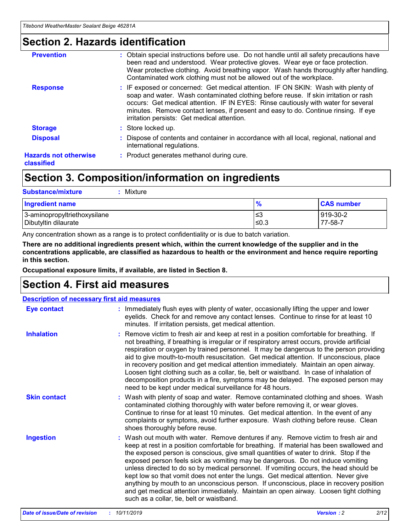# **Section 2. Hazards identification**

| <b>Prevention</b>                          | : Obtain special instructions before use. Do not handle until all safety precautions have<br>been read and understood. Wear protective gloves. Wear eye or face protection.<br>Wear protective clothing. Avoid breathing vapor. Wash hands thoroughly after handling.<br>Contaminated work clothing must not be allowed out of the workplace.                                                        |
|--------------------------------------------|------------------------------------------------------------------------------------------------------------------------------------------------------------------------------------------------------------------------------------------------------------------------------------------------------------------------------------------------------------------------------------------------------|
| <b>Response</b>                            | : IF exposed or concerned: Get medical attention. IF ON SKIN: Wash with plenty of<br>soap and water. Wash contaminated clothing before reuse. If skin irritation or rash<br>occurs: Get medical attention. IF IN EYES: Rinse cautiously with water for several<br>minutes. Remove contact lenses, if present and easy to do. Continue rinsing. If eye<br>irritation persists: Get medical attention. |
| <b>Storage</b>                             | : Store locked up.                                                                                                                                                                                                                                                                                                                                                                                   |
| <b>Disposal</b>                            | : Dispose of contents and container in accordance with all local, regional, national and<br>international regulations.                                                                                                                                                                                                                                                                               |
| <b>Hazards not otherwise</b><br>classified | : Product generates methanol during cure.                                                                                                                                                                                                                                                                                                                                                            |
|                                            |                                                                                                                                                                                                                                                                                                                                                                                                      |

# **Section 3. Composition/information on ingredients**

| <b>Substance/mixture</b><br>Mixture                  |                   |                     |
|------------------------------------------------------|-------------------|---------------------|
| <b>Ingredient name</b>                               | $\frac{9}{6}$     | <b>CAS number</b>   |
| 3-aminopropyltriethoxysilane<br>Dibutyltin dilaurate | l≤3<br>$\leq 0.3$ | 919-30-2<br>77-58-7 |

Any concentration shown as a range is to protect confidentiality or is due to batch variation.

**There are no additional ingredients present which, within the current knowledge of the supplier and in the concentrations applicable, are classified as hazardous to health or the environment and hence require reporting in this section.**

**Occupational exposure limits, if available, are listed in Section 8.**

# **Section 4. First aid measures**

| <b>Description of necessary first aid measures</b> |                                                                                                                                                                                                                                                                                                                                                                                                                                                                                                                                                                                                                                                                                                                                                                           |  |  |  |
|----------------------------------------------------|---------------------------------------------------------------------------------------------------------------------------------------------------------------------------------------------------------------------------------------------------------------------------------------------------------------------------------------------------------------------------------------------------------------------------------------------------------------------------------------------------------------------------------------------------------------------------------------------------------------------------------------------------------------------------------------------------------------------------------------------------------------------------|--|--|--|
| <b>Eye contact</b>                                 | : Immediately flush eyes with plenty of water, occasionally lifting the upper and lower<br>eyelids. Check for and remove any contact lenses. Continue to rinse for at least 10<br>minutes. If irritation persists, get medical attention.                                                                                                                                                                                                                                                                                                                                                                                                                                                                                                                                 |  |  |  |
| <b>Inhalation</b>                                  | : Remove victim to fresh air and keep at rest in a position comfortable for breathing. If<br>not breathing, if breathing is irregular or if respiratory arrest occurs, provide artificial<br>respiration or oxygen by trained personnel. It may be dangerous to the person providing<br>aid to give mouth-to-mouth resuscitation. Get medical attention. If unconscious, place<br>in recovery position and get medical attention immediately. Maintain an open airway.<br>Loosen tight clothing such as a collar, tie, belt or waistband. In case of inhalation of<br>decomposition products in a fire, symptoms may be delayed. The exposed person may<br>need to be kept under medical surveillance for 48 hours.                                                       |  |  |  |
| <b>Skin contact</b>                                | : Wash with plenty of soap and water. Remove contaminated clothing and shoes. Wash<br>contaminated clothing thoroughly with water before removing it, or wear gloves.<br>Continue to rinse for at least 10 minutes. Get medical attention. In the event of any<br>complaints or symptoms, avoid further exposure. Wash clothing before reuse. Clean<br>shoes thoroughly before reuse.                                                                                                                                                                                                                                                                                                                                                                                     |  |  |  |
| <b>Ingestion</b>                                   | : Wash out mouth with water. Remove dentures if any. Remove victim to fresh air and<br>keep at rest in a position comfortable for breathing. If material has been swallowed and<br>the exposed person is conscious, give small quantities of water to drink. Stop if the<br>exposed person feels sick as vomiting may be dangerous. Do not induce vomiting<br>unless directed to do so by medical personnel. If vomiting occurs, the head should be<br>kept low so that vomit does not enter the lungs. Get medical attention. Never give<br>anything by mouth to an unconscious person. If unconscious, place in recovery position<br>and get medical attention immediately. Maintain an open airway. Loosen tight clothing<br>such as a collar, tie, belt or waistband. |  |  |  |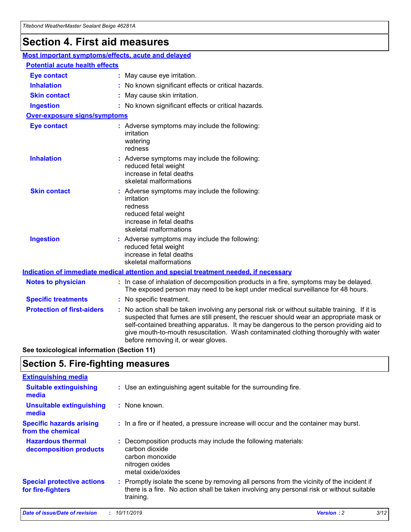# **Section 4. First aid measures**

| Most important symptoms/effects, acute and delayed |  |                                                                                                                                                                                                                                                                                                                                                                                                                 |  |  |
|----------------------------------------------------|--|-----------------------------------------------------------------------------------------------------------------------------------------------------------------------------------------------------------------------------------------------------------------------------------------------------------------------------------------------------------------------------------------------------------------|--|--|
| <b>Potential acute health effects</b>              |  |                                                                                                                                                                                                                                                                                                                                                                                                                 |  |  |
| <b>Eye contact</b>                                 |  | : May cause eye irritation.                                                                                                                                                                                                                                                                                                                                                                                     |  |  |
| <b>Inhalation</b>                                  |  | : No known significant effects or critical hazards.                                                                                                                                                                                                                                                                                                                                                             |  |  |
| <b>Skin contact</b>                                |  | : May cause skin irritation.                                                                                                                                                                                                                                                                                                                                                                                    |  |  |
| <b>Ingestion</b>                                   |  | : No known significant effects or critical hazards.                                                                                                                                                                                                                                                                                                                                                             |  |  |
| <b>Over-exposure signs/symptoms</b>                |  |                                                                                                                                                                                                                                                                                                                                                                                                                 |  |  |
| <b>Eye contact</b>                                 |  | : Adverse symptoms may include the following:<br>irritation<br>watering<br>redness                                                                                                                                                                                                                                                                                                                              |  |  |
| <b>Inhalation</b>                                  |  | : Adverse symptoms may include the following:<br>reduced fetal weight<br>increase in fetal deaths<br>skeletal malformations                                                                                                                                                                                                                                                                                     |  |  |
| <b>Skin contact</b>                                |  | : Adverse symptoms may include the following:<br>irritation<br>redness<br>reduced fetal weight<br>increase in fetal deaths<br>skeletal malformations                                                                                                                                                                                                                                                            |  |  |
| <b>Ingestion</b>                                   |  | : Adverse symptoms may include the following:<br>reduced fetal weight<br>increase in fetal deaths<br>skeletal malformations                                                                                                                                                                                                                                                                                     |  |  |
|                                                    |  | <b>Indication of immediate medical attention and special treatment needed, if necessary</b>                                                                                                                                                                                                                                                                                                                     |  |  |
| <b>Notes to physician</b>                          |  | : In case of inhalation of decomposition products in a fire, symptoms may be delayed.<br>The exposed person may need to be kept under medical surveillance for 48 hours.                                                                                                                                                                                                                                        |  |  |
| <b>Specific treatments</b>                         |  | : No specific treatment.                                                                                                                                                                                                                                                                                                                                                                                        |  |  |
| <b>Protection of first-aiders</b>                  |  | : No action shall be taken involving any personal risk or without suitable training. If it is<br>suspected that fumes are still present, the rescuer should wear an appropriate mask or<br>self-contained breathing apparatus. It may be dangerous to the person providing aid to<br>give mouth-to-mouth resuscitation. Wash contaminated clothing thoroughly with water<br>before removing it, or wear gloves. |  |  |

**See toxicological information (Section 11)**

# **Section 5. Fire-fighting measures**

| <b>Extinguishing media</b>                             |                                                                                                                                                                                                     |
|--------------------------------------------------------|-----------------------------------------------------------------------------------------------------------------------------------------------------------------------------------------------------|
| <b>Suitable extinguishing</b><br>media                 | : Use an extinguishing agent suitable for the surrounding fire.                                                                                                                                     |
| <b>Unsuitable extinguishing</b><br>media               | $:$ None known.                                                                                                                                                                                     |
| <b>Specific hazards arising</b><br>from the chemical   | : In a fire or if heated, a pressure increase will occur and the container may burst.                                                                                                               |
| <b>Hazardous thermal</b><br>decomposition products     | : Decomposition products may include the following materials:<br>carbon dioxide<br>carbon monoxide<br>nitrogen oxides<br>metal oxide/oxides                                                         |
| <b>Special protective actions</b><br>for fire-fighters | : Promptly isolate the scene by removing all persons from the vicinity of the incident if<br>there is a fire. No action shall be taken involving any personal risk or without suitable<br>training. |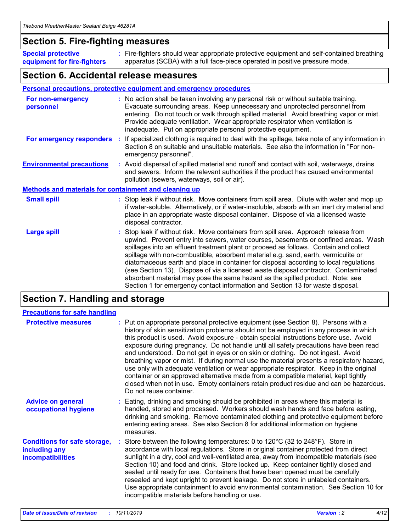## **Section 5. Fire-fighting measures**

**Special protective equipment for fire-fighters** Fire-fighters should wear appropriate protective equipment and self-contained breathing **:** apparatus (SCBA) with a full face-piece operated in positive pressure mode.

## **Section 6. Accidental release measures**

#### **Personal precautions, protective equipment and emergency procedures**

| For non-emergency<br>personnel                               | : No action shall be taken involving any personal risk or without suitable training.<br>Evacuate surrounding areas. Keep unnecessary and unprotected personnel from<br>entering. Do not touch or walk through spilled material. Avoid breathing vapor or mist.<br>Provide adequate ventilation. Wear appropriate respirator when ventilation is<br>inadequate. Put on appropriate personal protective equipment.                                                                                                                                                                                                                                                                                             |
|--------------------------------------------------------------|--------------------------------------------------------------------------------------------------------------------------------------------------------------------------------------------------------------------------------------------------------------------------------------------------------------------------------------------------------------------------------------------------------------------------------------------------------------------------------------------------------------------------------------------------------------------------------------------------------------------------------------------------------------------------------------------------------------|
|                                                              | For emergency responders : If specialized clothing is required to deal with the spillage, take note of any information in<br>Section 8 on suitable and unsuitable materials. See also the information in "For non-<br>emergency personnel".                                                                                                                                                                                                                                                                                                                                                                                                                                                                  |
| <b>Environmental precautions</b>                             | : Avoid dispersal of spilled material and runoff and contact with soil, waterways, drains<br>and sewers. Inform the relevant authorities if the product has caused environmental<br>pollution (sewers, waterways, soil or air).                                                                                                                                                                                                                                                                                                                                                                                                                                                                              |
| <b>Methods and materials for containment and cleaning up</b> |                                                                                                                                                                                                                                                                                                                                                                                                                                                                                                                                                                                                                                                                                                              |
| <b>Small spill</b>                                           | : Stop leak if without risk. Move containers from spill area. Dilute with water and mop up<br>if water-soluble. Alternatively, or if water-insoluble, absorb with an inert dry material and<br>place in an appropriate waste disposal container. Dispose of via a licensed waste<br>disposal contractor.                                                                                                                                                                                                                                                                                                                                                                                                     |
| <b>Large spill</b>                                           | : Stop leak if without risk. Move containers from spill area. Approach release from<br>upwind. Prevent entry into sewers, water courses, basements or confined areas. Wash<br>spillages into an effluent treatment plant or proceed as follows. Contain and collect<br>spillage with non-combustible, absorbent material e.g. sand, earth, vermiculite or<br>diatomaceous earth and place in container for disposal according to local regulations<br>(see Section 13). Dispose of via a licensed waste disposal contractor. Contaminated<br>absorbent material may pose the same hazard as the spilled product. Note: see<br>Section 1 for emergency contact information and Section 13 for waste disposal. |

# **Section 7. Handling and storage**

| <b>Precautions for safe handling</b>                                             |                                                                                                                                                                                                                                                                                                                                                                                                                                                                                                                                                                                                                                                                                                                                                                                                                                                  |
|----------------------------------------------------------------------------------|--------------------------------------------------------------------------------------------------------------------------------------------------------------------------------------------------------------------------------------------------------------------------------------------------------------------------------------------------------------------------------------------------------------------------------------------------------------------------------------------------------------------------------------------------------------------------------------------------------------------------------------------------------------------------------------------------------------------------------------------------------------------------------------------------------------------------------------------------|
| <b>Protective measures</b>                                                       | : Put on appropriate personal protective equipment (see Section 8). Persons with a<br>history of skin sensitization problems should not be employed in any process in which<br>this product is used. Avoid exposure - obtain special instructions before use. Avoid<br>exposure during pregnancy. Do not handle until all safety precautions have been read<br>and understood. Do not get in eyes or on skin or clothing. Do not ingest. Avoid<br>breathing vapor or mist. If during normal use the material presents a respiratory hazard,<br>use only with adequate ventilation or wear appropriate respirator. Keep in the original<br>container or an approved alternative made from a compatible material, kept tightly<br>closed when not in use. Empty containers retain product residue and can be hazardous.<br>Do not reuse container. |
| <b>Advice on general</b><br>occupational hygiene                                 | : Eating, drinking and smoking should be prohibited in areas where this material is<br>handled, stored and processed. Workers should wash hands and face before eating,<br>drinking and smoking. Remove contaminated clothing and protective equipment before<br>entering eating areas. See also Section 8 for additional information on hygiene<br>measures.                                                                                                                                                                                                                                                                                                                                                                                                                                                                                    |
| <b>Conditions for safe storage,</b><br>including any<br><b>incompatibilities</b> | : Store between the following temperatures: 0 to 120 $\degree$ C (32 to 248 $\degree$ F). Store in<br>accordance with local regulations. Store in original container protected from direct<br>sunlight in a dry, cool and well-ventilated area, away from incompatible materials (see<br>Section 10) and food and drink. Store locked up. Keep container tightly closed and<br>sealed until ready for use. Containers that have been opened must be carefully<br>resealed and kept upright to prevent leakage. Do not store in unlabeled containers.<br>Use appropriate containment to avoid environmental contamination. See Section 10 for<br>incompatible materials before handling or use.                                                                                                                                                   |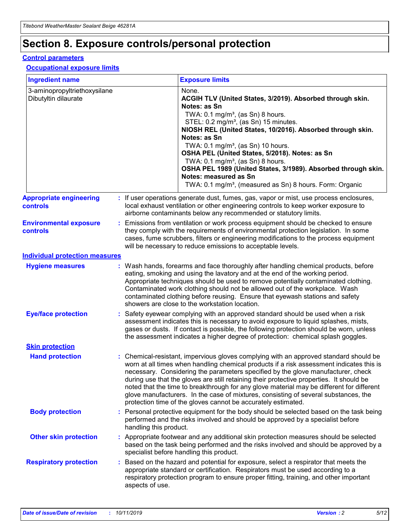# **Section 8. Exposure controls/personal protection**

#### **Control parameters**

#### **Occupational exposure limits**

| <b>Ingredient name</b>                               |    |                                          | <b>Exposure limits</b>                                                                                                                                                                                                                                                                                                                                                                                                                                                                                                                                                                                                 |
|------------------------------------------------------|----|------------------------------------------|------------------------------------------------------------------------------------------------------------------------------------------------------------------------------------------------------------------------------------------------------------------------------------------------------------------------------------------------------------------------------------------------------------------------------------------------------------------------------------------------------------------------------------------------------------------------------------------------------------------------|
| 3-aminopropyltriethoxysilane<br>Dibutyltin dilaurate |    |                                          | None.<br>ACGIH TLV (United States, 3/2019). Absorbed through skin.<br>Notes: as Sn<br>TWA: 0.1 mg/m <sup>3</sup> , (as Sn) 8 hours.<br>STEL: 0.2 mg/m <sup>3</sup> , (as Sn) 15 minutes.<br>NIOSH REL (United States, 10/2016). Absorbed through skin.<br>Notes: as Sn<br>TWA: 0.1 mg/m <sup>3</sup> , (as Sn) 10 hours.<br>OSHA PEL (United States, 5/2018). Notes: as Sn<br>TWA: $0.1 \text{ mg/m}^3$ , (as Sn) 8 hours.<br>OSHA PEL 1989 (United States, 3/1989). Absorbed through skin.<br>Notes: measured as Sn<br>TWA: 0.1 mg/m <sup>3</sup> , (measured as Sn) 8 hours. Form: Organic                           |
| <b>Appropriate engineering</b><br>controls           |    |                                          | : If user operations generate dust, fumes, gas, vapor or mist, use process enclosures,<br>local exhaust ventilation or other engineering controls to keep worker exposure to<br>airborne contaminants below any recommended or statutory limits.                                                                                                                                                                                                                                                                                                                                                                       |
| <b>Environmental exposure</b><br><b>controls</b>     |    |                                          | Emissions from ventilation or work process equipment should be checked to ensure<br>they comply with the requirements of environmental protection legislation. In some<br>cases, fume scrubbers, filters or engineering modifications to the process equipment<br>will be necessary to reduce emissions to acceptable levels.                                                                                                                                                                                                                                                                                          |
| <b>Individual protection measures</b>                |    |                                          |                                                                                                                                                                                                                                                                                                                                                                                                                                                                                                                                                                                                                        |
| <b>Hygiene measures</b>                              |    |                                          | : Wash hands, forearms and face thoroughly after handling chemical products, before<br>eating, smoking and using the lavatory and at the end of the working period.<br>Appropriate techniques should be used to remove potentially contaminated clothing.<br>Contaminated work clothing should not be allowed out of the workplace. Wash<br>contaminated clothing before reusing. Ensure that eyewash stations and safety<br>showers are close to the workstation location.                                                                                                                                            |
| <b>Eye/face protection</b>                           |    |                                          | : Safety eyewear complying with an approved standard should be used when a risk<br>assessment indicates this is necessary to avoid exposure to liquid splashes, mists,<br>gases or dusts. If contact is possible, the following protection should be worn, unless<br>the assessment indicates a higher degree of protection: chemical splash goggles.                                                                                                                                                                                                                                                                  |
| <b>Skin protection</b>                               |    |                                          |                                                                                                                                                                                                                                                                                                                                                                                                                                                                                                                                                                                                                        |
| <b>Hand protection</b>                               |    |                                          | : Chemical-resistant, impervious gloves complying with an approved standard should be<br>worn at all times when handling chemical products if a risk assessment indicates this is<br>necessary. Considering the parameters specified by the glove manufacturer, check<br>during use that the gloves are still retaining their protective properties. It should be<br>noted that the time to breakthrough for any glove material may be different for different<br>glove manufacturers. In the case of mixtures, consisting of several substances, the<br>protection time of the gloves cannot be accurately estimated. |
| <b>Body protection</b>                               |    | handling this product.                   | Personal protective equipment for the body should be selected based on the task being<br>performed and the risks involved and should be approved by a specialist before                                                                                                                                                                                                                                                                                                                                                                                                                                                |
| <b>Other skin protection</b>                         |    | specialist before handling this product. | : Appropriate footwear and any additional skin protection measures should be selected<br>based on the task being performed and the risks involved and should be approved by a                                                                                                                                                                                                                                                                                                                                                                                                                                          |
| <b>Respiratory protection</b>                        | ÷. | aspects of use.                          | Based on the hazard and potential for exposure, select a respirator that meets the<br>appropriate standard or certification. Respirators must be used according to a<br>respiratory protection program to ensure proper fitting, training, and other important                                                                                                                                                                                                                                                                                                                                                         |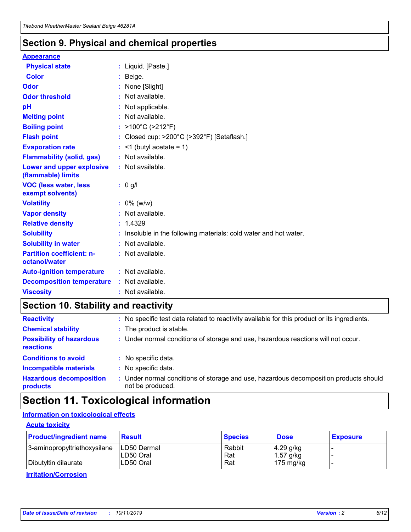## **Section 9. Physical and chemical properties**

#### **Appearance**

| <b>Physical state</b>                             | : Liquid. [Paste.]                                              |
|---------------------------------------------------|-----------------------------------------------------------------|
| Color                                             | Beige.                                                          |
| Odor                                              | None [Slight]                                                   |
| <b>Odor threshold</b>                             | $:$ Not available.                                              |
| рH                                                | : Not applicable.                                               |
| <b>Melting point</b>                              | : Not available.                                                |
| <b>Boiling point</b>                              | : >100°C (>212°F)                                               |
| <b>Flash point</b>                                | : Closed cup: $>200^{\circ}$ C ( $>392^{\circ}$ F) [Setaflash.] |
| <b>Evaporation rate</b>                           | $:$ <1 (butyl acetate = 1)                                      |
| <b>Flammability (solid, gas)</b>                  | : Not available.                                                |
| Lower and upper explosive<br>(flammable) limits   | $:$ Not available.                                              |
| <b>VOC (less water, less</b><br>exempt solvents)  | : 0 g/l                                                         |
| <b>Volatility</b>                                 | $: 0\%$ (w/w)                                                   |
| <b>Vapor density</b>                              | : Not available.                                                |
| <b>Relative density</b>                           | : 1.4329                                                        |
| <b>Solubility</b>                                 | Insoluble in the following materials: cold water and hot water. |
| <b>Solubility in water</b>                        | : Not available.                                                |
| <b>Partition coefficient: n-</b><br>octanol/water | : Not available.                                                |
|                                                   |                                                                 |
| <b>Auto-ignition temperature</b>                  | : Not available.                                                |
| <b>Decomposition temperature</b>                  | : Not available.                                                |

# **Section 10. Stability and reactivity**

| <b>Reactivity</b>                            |    | : No specific test data related to reactivity available for this product or its ingredients.            |
|----------------------------------------------|----|---------------------------------------------------------------------------------------------------------|
| <b>Chemical stability</b>                    |    | : The product is stable.                                                                                |
| <b>Possibility of hazardous</b><br>reactions |    | : Under normal conditions of storage and use, hazardous reactions will not occur.                       |
| <b>Conditions to avoid</b>                   |    | : No specific data.                                                                                     |
| <b>Incompatible materials</b>                | ٠. | No specific data.                                                                                       |
| <b>Hazardous decomposition</b><br>products   | ÷. | Under normal conditions of storage and use, hazardous decomposition products should<br>not be produced. |

# **Section 11. Toxicological information**

## **Information on toxicological effects**

#### **Acute toxicity**

| <b>Product/ingredient name</b> | <b>Result</b>           | <b>Species</b> | <b>Dose</b>                | <b>Exposure</b> |
|--------------------------------|-------------------------|----------------|----------------------------|-----------------|
| 3-aminopropyltriethoxysilane   | <b>ILD50 Dermal</b>     | Rabbit         | 4.29 g/kg                  |                 |
| Dibutyltin dilaurate           | ILD50 Oral<br>LD50 Oral | Rat<br>Rat     | $1.57$ g/kg<br>175 $mg/kg$ |                 |
|                                |                         |                |                            |                 |

**Irritation/Corrosion**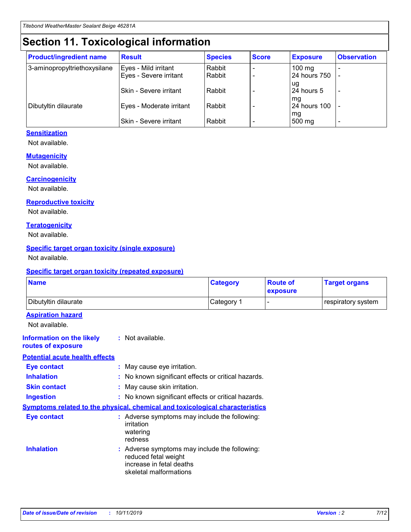# **Section 11. Toxicological information**

| <b>Product/ingredient name</b> | <b>Result</b>            | <b>Species</b> | <b>Score</b> | <b>Exposure</b>           | <b>Observation</b> |
|--------------------------------|--------------------------|----------------|--------------|---------------------------|--------------------|
| 3-aminopropyltriethoxysilane   | Eyes - Mild irritant     | Rabbit         |              | $100$ mg                  |                    |
|                                | Eyes - Severe irritant   | Rabbit         |              | 24 hours 750              |                    |
|                                |                          |                |              | ug                        |                    |
|                                | Skin - Severe irritant   | Rabbit         |              | 24 hours 5                | -                  |
| Dibutyltin dilaurate           | Eyes - Moderate irritant | Rabbit         |              | mq<br><b>24 hours 100</b> |                    |
|                                |                          |                |              | mg                        |                    |
|                                | Skin - Severe irritant   | Rabbit         |              | 500 mg                    |                    |

### **Sensitization**

Not available.

#### **Mutagenicity**

Not available.

#### **Carcinogenicity**

Not available.

#### **Reproductive toxicity**

Not available.

#### **Teratogenicity**

Not available.

#### **Specific target organ toxicity (single exposure)**

Not available.

#### **Specific target organ toxicity (repeated exposure)**

| <b>Name</b>                                                                  |                                                                            | <b>Category</b>                                     | <b>Route of</b><br>exposure | <b>Target organs</b> |
|------------------------------------------------------------------------------|----------------------------------------------------------------------------|-----------------------------------------------------|-----------------------------|----------------------|
| Dibutyltin dilaurate                                                         |                                                                            | Category 1                                          | -                           | respiratory system   |
| <b>Aspiration hazard</b><br>Not available.                                   |                                                                            |                                                     |                             |                      |
| <b>Information on the likely</b><br>routes of exposure                       | : Not available.                                                           |                                                     |                             |                      |
| <b>Potential acute health effects</b>                                        |                                                                            |                                                     |                             |                      |
| <b>Eye contact</b>                                                           | : May cause eye irritation.                                                |                                                     |                             |                      |
| <b>Inhalation</b>                                                            |                                                                            | : No known significant effects or critical hazards. |                             |                      |
| <b>Skin contact</b>                                                          | : May cause skin irritation.                                               |                                                     |                             |                      |
| <b>Ingestion</b>                                                             |                                                                            | : No known significant effects or critical hazards. |                             |                      |
| Symptoms related to the physical, chemical and toxicological characteristics |                                                                            |                                                     |                             |                      |
| <b>Eye contact</b>                                                           | irritation<br>watering<br>redness                                          | : Adverse symptoms may include the following:       |                             |                      |
| <b>Inhalation</b>                                                            | reduced fetal weight<br>increase in fetal deaths<br>skeletal malformations | : Adverse symptoms may include the following:       |                             |                      |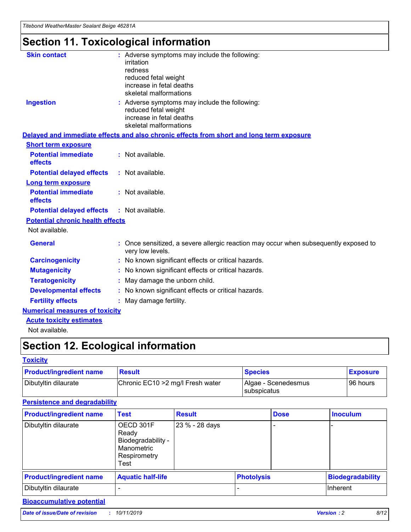# **Section 11. Toxicological information**

| <b>Skin contact</b>                     | : Adverse symptoms may include the following:                                                            |
|-----------------------------------------|----------------------------------------------------------------------------------------------------------|
|                                         | irritation                                                                                               |
|                                         | redness                                                                                                  |
|                                         | reduced fetal weight                                                                                     |
|                                         | increase in fetal deaths                                                                                 |
|                                         | skeletal malformations                                                                                   |
| <b>Ingestion</b>                        | : Adverse symptoms may include the following:                                                            |
|                                         | reduced fetal weight                                                                                     |
|                                         | increase in fetal deaths                                                                                 |
|                                         | skeletal malformations                                                                                   |
|                                         | Delayed and immediate effects and also chronic effects from short and long term exposure                 |
| <b>Short term exposure</b>              |                                                                                                          |
| <b>Potential immediate</b>              | : Not available.                                                                                         |
| effects                                 |                                                                                                          |
| <b>Potential delayed effects</b>        | : Not available.                                                                                         |
| Long term exposure                      |                                                                                                          |
| <b>Potential immediate</b>              | : Not available.                                                                                         |
| effects                                 |                                                                                                          |
| <b>Potential delayed effects</b>        | : Not available.                                                                                         |
| <b>Potential chronic health effects</b> |                                                                                                          |
| Not available.                          |                                                                                                          |
| <b>General</b>                          | : Once sensitized, a severe allergic reaction may occur when subsequently exposed to<br>very low levels. |
| <b>Carcinogenicity</b>                  | : No known significant effects or critical hazards.                                                      |
| <b>Mutagenicity</b>                     | : No known significant effects or critical hazards.                                                      |
| <b>Teratogenicity</b>                   | May damage the unborn child.                                                                             |
| <b>Developmental effects</b>            | : No known significant effects or critical hazards.                                                      |
| <b>Fertility effects</b>                | May damage fertility.                                                                                    |
| <b>Numerical measures of toxicity</b>   |                                                                                                          |
| <b>Acute toxicity estimates</b>         |                                                                                                          |
| الملمانة المستنقط فالمرابط              |                                                                                                          |

Not available.

# **Section 12. Ecological information**

#### **Toxicity**

| <b>Product/ingredient name</b> | <b>Result</b>                     | <b>Species</b>                       | <b>Exposure</b> |
|--------------------------------|-----------------------------------|--------------------------------------|-----------------|
| Dibutyltin dilaurate           | Chronic EC10 > 2 mg/l Fresh water | Algae - Scenedesmus<br>I subspicatus | l 96 hours      |

## **Persistence and degradability**

| <b>Product/ingredient name</b> | <b>Test</b>                                                                    | <b>Result</b>  |                   | <b>Dose</b> | <b>Inoculum</b>         |
|--------------------------------|--------------------------------------------------------------------------------|----------------|-------------------|-------------|-------------------------|
| Dibutyltin dilaurate           | OECD 301F<br>Ready<br>Biodegradability -<br>Manometric<br>Respirometry<br>Test | 23 % - 28 days |                   |             |                         |
| <b>Product/ingredient name</b> | <b>Aquatic half-life</b>                                                       |                | <b>Photolysis</b> |             | <b>Biodegradability</b> |
| Dibutyltin dilaurate           |                                                                                |                |                   |             | Inherent                |

## **Bioaccumulative potential**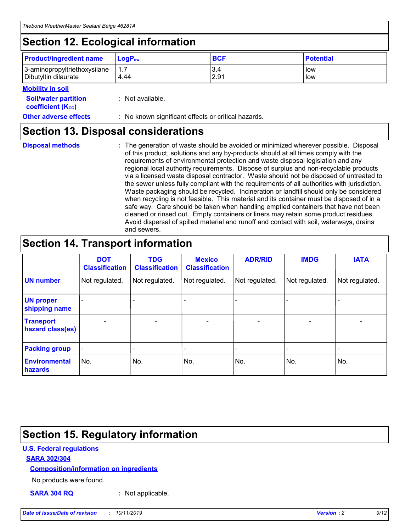# **Section 12. Ecological information**

| <b>Product/ingredient name</b> | $LoaPow$ | <b>BCF</b> | <b>Potential</b> |
|--------------------------------|----------|------------|------------------|
| 3-aminopropyltriethoxysilane   | 1.7      | 3.4        | low              |
| Dibutyltin dilaurate           | 4.44     | 2.91       | low              |

#### **Mobility in soil**

| <i></i>                                                       |                                                     |
|---------------------------------------------------------------|-----------------------------------------------------|
| <b>Soil/water partition</b><br>coefficient (K <sub>oc</sub> ) | : Not available.                                    |
| <b>Other adverse effects</b>                                  | : No known significant effects or critical hazards. |

## **Section 13. Disposal considerations**

**Disposal methods :**

The generation of waste should be avoided or minimized wherever possible. Disposal of this product, solutions and any by-products should at all times comply with the requirements of environmental protection and waste disposal legislation and any regional local authority requirements. Dispose of surplus and non-recyclable products via a licensed waste disposal contractor. Waste should not be disposed of untreated to the sewer unless fully compliant with the requirements of all authorities with jurisdiction. Waste packaging should be recycled. Incineration or landfill should only be considered when recycling is not feasible. This material and its container must be disposed of in a safe way. Care should be taken when handling emptied containers that have not been cleaned or rinsed out. Empty containers or liners may retain some product residues. Avoid dispersal of spilled material and runoff and contact with soil, waterways, drains and sewers.

# **Section 14. Transport information**

|                                      | <b>DOT</b><br><b>Classification</b> | <b>TDG</b><br><b>Classification</b> | <b>Mexico</b><br><b>Classification</b> | <b>ADR/RID</b>               | <b>IMDG</b>    | <b>IATA</b>    |
|--------------------------------------|-------------------------------------|-------------------------------------|----------------------------------------|------------------------------|----------------|----------------|
| <b>UN number</b>                     | Not regulated.                      | Not regulated.                      | Not regulated.                         | Not regulated.               | Not regulated. | Not regulated. |
| <b>UN proper</b><br>shipping name    |                                     |                                     |                                        |                              |                |                |
| <b>Transport</b><br>hazard class(es) | $\blacksquare$                      | $\overline{\phantom{0}}$            | $\overline{\phantom{a}}$               | $\qquad \qquad \blacksquare$ | $\blacksquare$ | $\blacksquare$ |
| <b>Packing group</b>                 | $\overline{\phantom{a}}$            | -                                   |                                        | -                            |                | -              |
| <b>Environmental</b><br>hazards      | No.                                 | No.                                 | No.                                    | No.                          | No.            | No.            |

# **Section 15. Regulatory information**

### **U.S. Federal regulations**

#### **SARA 302/304**

#### **Composition/information on ingredients**

No products were found.

**SARA 304 RQ :** Not applicable.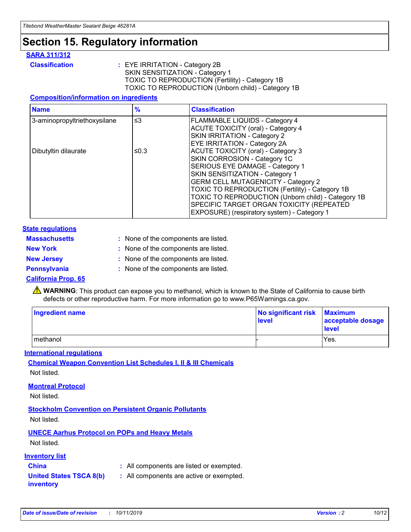# **Section 15. Regulatory information**

#### **SARA 311/312**

**Classification :** EYE IRRITATION - Category 2B SKIN SENSITIZATION - Category 1 TOXIC TO REPRODUCTION (Fertility) - Category 1B TOXIC TO REPRODUCTION (Unborn child) - Category 1B

#### **Composition/information on ingredients**

| <b>Name</b>                  | $\frac{9}{6}$ | <b>Classification</b>                                                                                            |
|------------------------------|---------------|------------------------------------------------------------------------------------------------------------------|
| 3-aminopropyltriethoxysilane | $\leq$ 3      | <b>FLAMMABLE LIQUIDS - Category 4</b><br><b>ACUTE TOXICITY (oral) - Category 4</b>                               |
|                              |               | SKIN IRRITATION - Category 2<br>EYE IRRITATION - Category 2A                                                     |
| Dibutyltin dilaurate         | ≤0.3          | ACUTE TOXICITY (oral) - Category 3<br>SKIN CORROSION - Category 1C                                               |
|                              |               | SERIOUS EYE DAMAGE - Category 1<br>SKIN SENSITIZATION - Category 1<br><b>GERM CELL MUTAGENICITY - Category 2</b> |
|                              |               | TOXIC TO REPRODUCTION (Fertility) - Category 1B<br>TOXIC TO REPRODUCTION (Unborn child) - Category 1B            |
|                              |               | SPECIFIC TARGET ORGAN TOXICITY (REPEATED<br>EXPOSURE) (respiratory system) - Category 1                          |

#### **State regulations**

| <b>Massachusetts</b> | : None of the components are listed. |
|----------------------|--------------------------------------|
| <b>New York</b>      | : None of the components are listed. |
| <b>New Jersey</b>    | : None of the components are listed. |
| <b>Pennsylvania</b>  | : None of the components are listed. |

#### **California Prop. 65**

**A** WARNING: This product can expose you to methanol, which is known to the State of California to cause birth defects or other reproductive harm. For more information go to www.P65Warnings.ca.gov.

| <b>Ingredient name</b> | No significant risk Maximum<br>level | acceptable dosage<br>level |
|------------------------|--------------------------------------|----------------------------|
| methanol               |                                      | Yes.                       |

#### **International regulations**

**Chemical Weapon Convention List Schedules I, II & III Chemicals** Not listed.

#### **Montreal Protocol**

Not listed.

#### **Stockholm Convention on Persistent Organic Pollutants**

Not listed.

## **UNECE Aarhus Protocol on POPs and Heavy Metals**

Not listed.

#### **Inventory list**

## **China :** All components are listed or exempted.

**United States TSCA 8(b) inventory :** All components are active or exempted.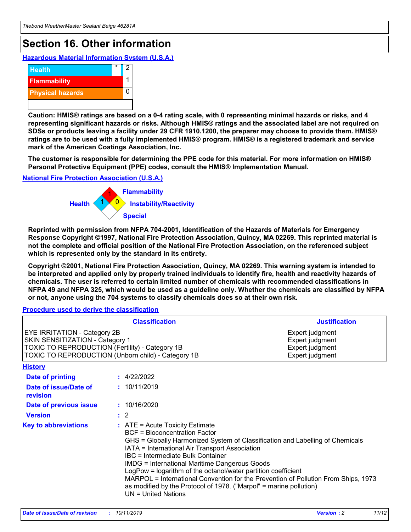# **Section 16. Other information**

**Hazardous Material Information System (U.S.A.)**



**Caution: HMIS® ratings are based on a 0-4 rating scale, with 0 representing minimal hazards or risks, and 4 representing significant hazards or risks. Although HMIS® ratings and the associated label are not required on SDSs or products leaving a facility under 29 CFR 1910.1200, the preparer may choose to provide them. HMIS® ratings are to be used with a fully implemented HMIS® program. HMIS® is a registered trademark and service mark of the American Coatings Association, Inc.**

**The customer is responsible for determining the PPE code for this material. For more information on HMIS® Personal Protective Equipment (PPE) codes, consult the HMIS® Implementation Manual.**

#### **National Fire Protection Association (U.S.A.)**



**Reprinted with permission from NFPA 704-2001, Identification of the Hazards of Materials for Emergency Response Copyright ©1997, National Fire Protection Association, Quincy, MA 02269. This reprinted material is not the complete and official position of the National Fire Protection Association, on the referenced subject which is represented only by the standard in its entirety.**

**Copyright ©2001, National Fire Protection Association, Quincy, MA 02269. This warning system is intended to be interpreted and applied only by properly trained individuals to identify fire, health and reactivity hazards of chemicals. The user is referred to certain limited number of chemicals with recommended classifications in NFPA 49 and NFPA 325, which would be used as a guideline only. Whether the chemicals are classified by NFPA or not, anyone using the 704 systems to classify chemicals does so at their own risk.**

**Procedure used to derive the classification**

| <b>Classification</b>                                                                                                                                                    |                                                                                                                                                  | <b>Justification</b>                                                                                                                                                                                                                                                                                                                                                                                                 |  |
|--------------------------------------------------------------------------------------------------------------------------------------------------------------------------|--------------------------------------------------------------------------------------------------------------------------------------------------|----------------------------------------------------------------------------------------------------------------------------------------------------------------------------------------------------------------------------------------------------------------------------------------------------------------------------------------------------------------------------------------------------------------------|--|
| EYE IRRITATION - Category 2B<br>SKIN SENSITIZATION - Category 1<br>TOXIC TO REPRODUCTION (Fertility) - Category 1B<br>TOXIC TO REPRODUCTION (Unborn child) - Category 1B |                                                                                                                                                  | Expert judgment<br>Expert judgment<br>Expert judgment<br>Expert judgment                                                                                                                                                                                                                                                                                                                                             |  |
| <b>History</b>                                                                                                                                                           |                                                                                                                                                  |                                                                                                                                                                                                                                                                                                                                                                                                                      |  |
| Date of printing                                                                                                                                                         | : 4/22/2022                                                                                                                                      |                                                                                                                                                                                                                                                                                                                                                                                                                      |  |
| Date of issue/Date of<br>revision                                                                                                                                        | : 10/11/2019                                                                                                                                     |                                                                                                                                                                                                                                                                                                                                                                                                                      |  |
| Date of previous issue                                                                                                                                                   | : 10/16/2020                                                                                                                                     |                                                                                                                                                                                                                                                                                                                                                                                                                      |  |
| <b>Version</b>                                                                                                                                                           | $\therefore$ 2                                                                                                                                   |                                                                                                                                                                                                                                                                                                                                                                                                                      |  |
| <b>Key to abbreviations</b>                                                                                                                                              | $\therefore$ ATE = Acute Toxicity Estimate<br><b>BCF</b> = Bioconcentration Factor<br>IBC = Intermediate Bulk Container<br>$UN = United Nations$ | GHS = Globally Harmonized System of Classification and Labelling of Chemicals<br>IATA = International Air Transport Association<br><b>IMDG = International Maritime Dangerous Goods</b><br>LogPow = logarithm of the octanol/water partition coefficient<br>MARPOL = International Convention for the Prevention of Pollution From Ships, 1973<br>as modified by the Protocol of 1978. ("Marpol" = marine pollution) |  |